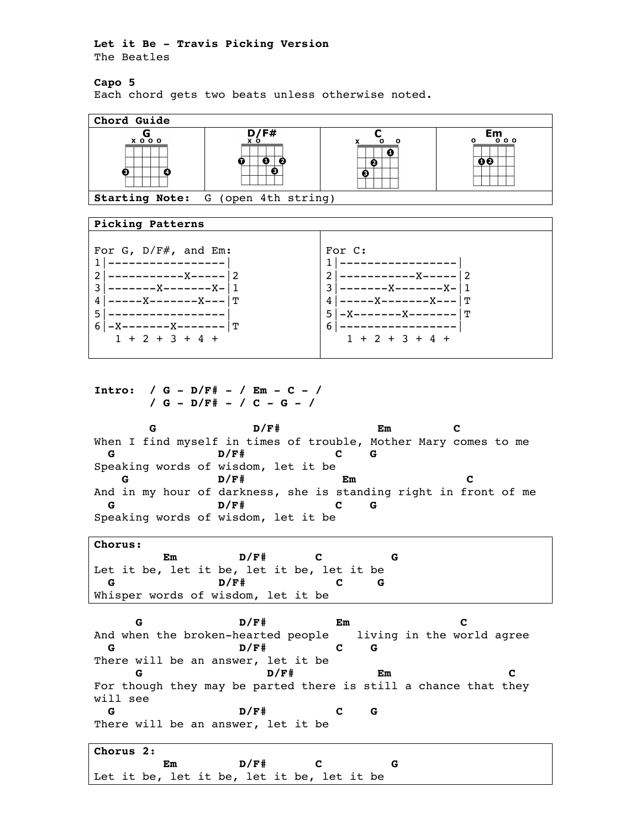## **Let it Be - Travis Picking Version** The Beatles

## **Capo 5**

Each chord gets two beats unless otherwise noted.



## **Picking Patterns**

| For G, $D/F#$ , and Em: | For C:                         |  |  |  |  |  |  |  |  |
|-------------------------|--------------------------------|--|--|--|--|--|--|--|--|
|                         |                                |  |  |  |  |  |  |  |  |
| - 2                     | $21-$                          |  |  |  |  |  |  |  |  |
| ———————X-               | $31 - - -$                     |  |  |  |  |  |  |  |  |
| -------X---   T         | $4 ---$                        |  |  |  |  |  |  |  |  |
|                         | 5<br>. ጥ<br>-X-------X-------- |  |  |  |  |  |  |  |  |
| -X--------X------- T    | $-61$                          |  |  |  |  |  |  |  |  |
| $1 + 2 + 3 + 4 +$       | $1 + 2 + 3 + 4 +$              |  |  |  |  |  |  |  |  |
|                         |                                |  |  |  |  |  |  |  |  |

**Intro: / G - D/F# - / Em - C - / / G - D/F# - / C - G - /**

 **G D/F# Em C** When I find myself in times of trouble, Mother Mary comes to me  **G D/F# C G** Speaking words of wisdom, let it be  **G D/F# Em C** And in my hour of darkness, she is standing right in front of me  **G D/F# C G** Speaking words of wisdom, let it be

**Chorus: Em D/F# C G** Let it be, let it be, let it be, let it be  **G D/F# C G** Whisper words of wisdom, let it be

 **G D/F# Em C** And when the broken-hearted people living in the world agree  **G D/F# C G** There will be an answer, let it be  **G D/F# Em C** For though they may be parted there is still a chance that they will see  **G D/F# C G** There will be an answer, let it be

| Chorus 2: |  |                                            |  |      |  |  |  |
|-----------|--|--------------------------------------------|--|------|--|--|--|
|           |  | Em                                         |  | D/F# |  |  |  |
|           |  | Let it be, let it be, let it be, let it be |  |      |  |  |  |